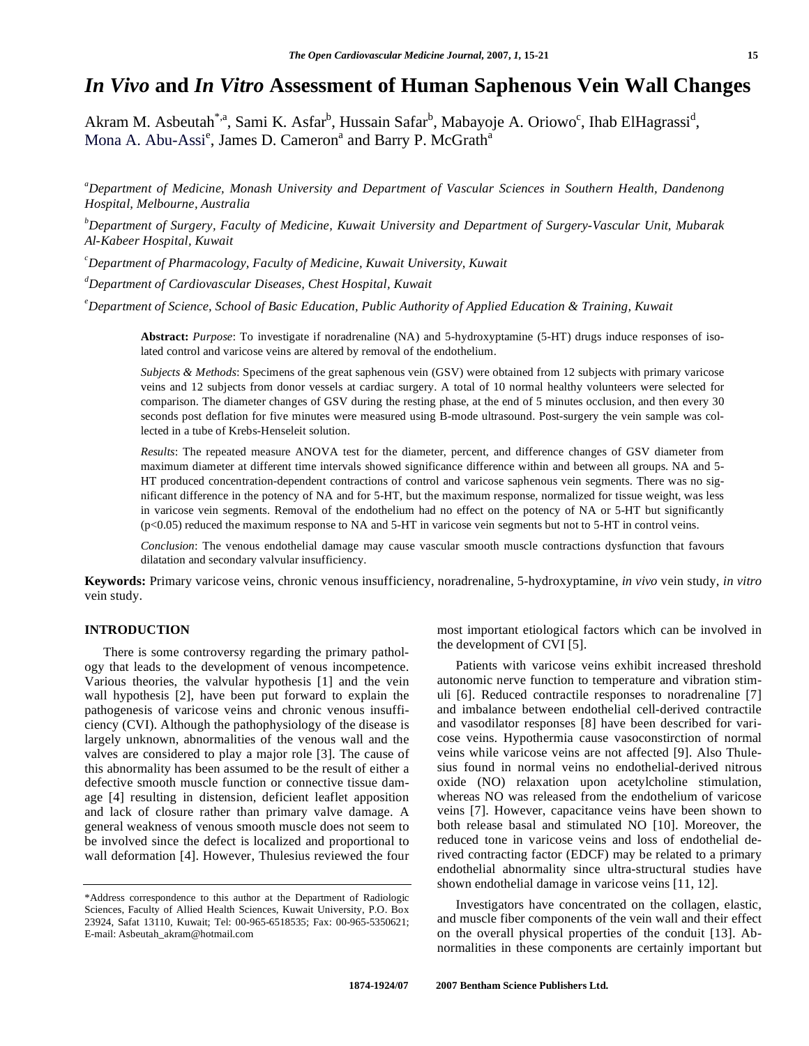# *In Vivo* **and** *In Vitro* **Assessment of Human Saphenous Vein Wall Changes**

Akram M. Asbeutah<sup>\*,a</sup>, Sami K. Asfar<sup>b</sup>, Hussain Safar<sup>b</sup>, Mabayoje A. Oriowo<sup>c</sup>, Ihab ElHagrassi<sup>d</sup>, Mona A. Abu-Assi<sup>e</sup>, James D. Cameron<sup>a</sup> and Barry P. McGrath<sup>a</sup>

*a Department of Medicine, Monash University and Department of Vascular Sciences in Southern Health, Dandenong Hospital, Melbourne, Australia*

*b Department of Surgery, Faculty of Medicine, Kuwait University and Department of Surgery-Vascular Unit, Mubarak Al-Kabeer Hospital, Kuwait*

*c Department of Pharmacology, Faculty of Medicine, Kuwait University, Kuwait*

*d Department of Cardiovascular Diseases, Chest Hospital, Kuwait*

*e Department of Science, School of Basic Education, Public Authority of Applied Education & Training, Kuwait* 

**Abstract:** *Purpose*: To investigate if noradrenaline (NA) and 5-hydroxyptamine (5-HT) drugs induce responses of isolated control and varicose veins are altered by removal of the endothelium.

*Subjects & Methods*: Specimens of the great saphenous vein (GSV) were obtained from 12 subjects with primary varicose veins and 12 subjects from donor vessels at cardiac surgery. A total of 10 normal healthy volunteers were selected for comparison. The diameter changes of GSV during the resting phase, at the end of 5 minutes occlusion, and then every 30 seconds post deflation for five minutes were measured using B-mode ultrasound. Post-surgery the vein sample was collected in a tube of Krebs-Henseleit solution.

*Results*: The repeated measure ANOVA test for the diameter, percent, and difference changes of GSV diameter from maximum diameter at different time intervals showed significance difference within and between all groups. NA and 5- HT produced concentration-dependent contractions of control and varicose saphenous vein segments. There was no significant difference in the potency of NA and for 5-HT, but the maximum response, normalized for tissue weight, was less in varicose vein segments. Removal of the endothelium had no effect on the potency of NA or 5-HT but significantly (p<0.05) reduced the maximum response to NA and 5-HT in varicose vein segments but not to 5-HT in control veins.

*Conclusion*: The venous endothelial damage may cause vascular smooth muscle contractions dysfunction that favours dilatation and secondary valvular insufficiency.

**Keywords:** Primary varicose veins, chronic venous insufficiency, noradrenaline, 5-hydroxyptamine, *in vivo* vein study, *in vitro* vein study.

# **INTRODUCTION**

 There is some controversy regarding the primary pathology that leads to the development of venous incompetence. Various theories, the valvular hypothesis [1] and the vein wall hypothesis [2], have been put forward to explain the pathogenesis of varicose veins and chronic venous insufficiency (CVI). Although the pathophysiology of the disease is largely unknown, abnormalities of the venous wall and the valves are considered to play a major role [3]. The cause of this abnormality has been assumed to be the result of either a defective smooth muscle function or connective tissue damage [4] resulting in distension, deficient leaflet apposition and lack of closure rather than primary valve damage. A general weakness of venous smooth muscle does not seem to be involved since the defect is localized and proportional to wall deformation [4]. However, Thulesius reviewed the four

most important etiological factors which can be involved in the development of CVI [5].

 Patients with varicose veins exhibit increased threshold autonomic nerve function to temperature and vibration stimuli [6]. Reduced contractile responses to noradrenaline [7] and imbalance between endothelial cell-derived contractile and vasodilator responses [8] have been described for varicose veins. Hypothermia cause vasoconstirction of normal veins while varicose veins are not affected [9]. Also Thulesius found in normal veins no endothelial-derived nitrous oxide (NO) relaxation upon acetylcholine stimulation, whereas NO was released from the endothelium of varicose veins [7]. However, capacitance veins have been shown to both release basal and stimulated NO [10]. Moreover, the reduced tone in varicose veins and loss of endothelial derived contracting factor (EDCF) may be related to a primary endothelial abnormality since ultra-structural studies have shown endothelial damage in varicose veins [11, 12].

 Investigators have concentrated on the collagen, elastic, and muscle fiber components of the vein wall and their effect on the overall physical properties of the conduit [13]. Abnormalities in these components are certainly important but

<sup>\*</sup>Address correspondence to this author at the Department of Radiologic Sciences, Faculty of Allied Health Sciences, Kuwait University, P.O. Box 23924, Safat 13110, Kuwait; Tel: 00-965-6518535; Fax: 00-965-5350621; E-mail: Asbeutah\_akram@hotmail.com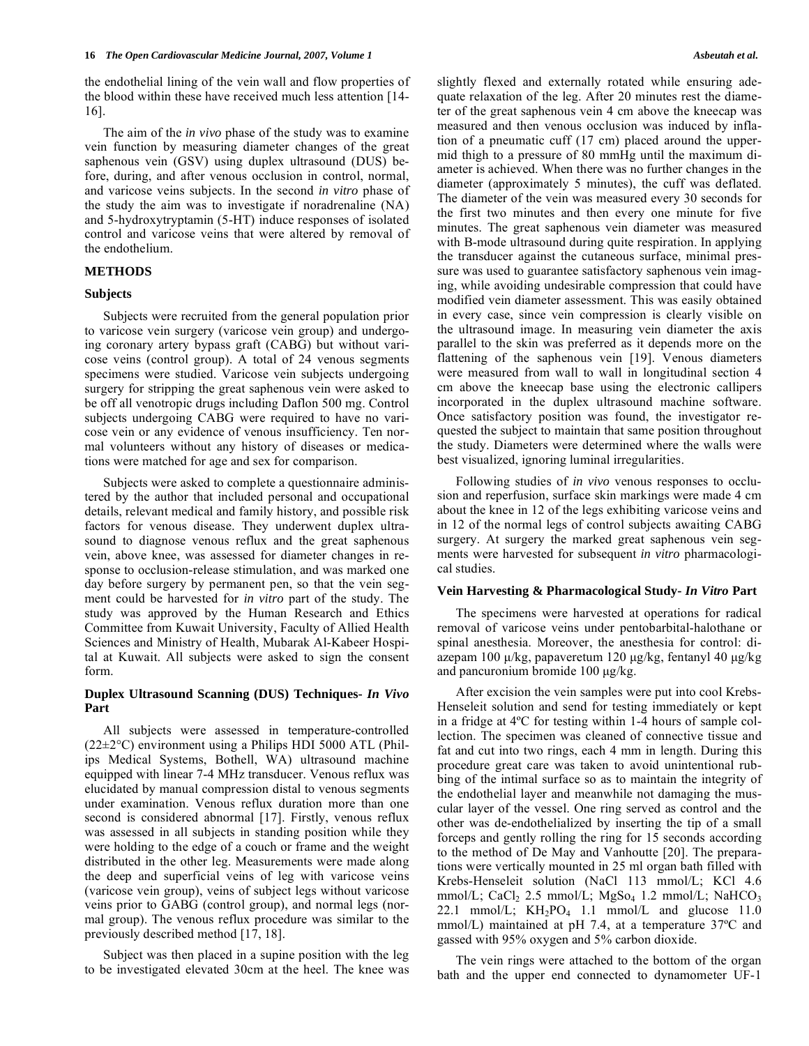the endothelial lining of the vein wall and flow properties of the blood within these have received much less attention [14- 16].

 The aim of the *in vivo* phase of the study was to examine vein function by measuring diameter changes of the great saphenous vein (GSV) using duplex ultrasound (DUS) before, during, and after venous occlusion in control, normal, and varicose veins subjects. In the second *in vitro* phase of the study the aim was to investigate if noradrenaline (NA) and 5-hydroxytryptamin (5-HT) induce responses of isolated control and varicose veins that were altered by removal of the endothelium.

# **METHODS**

# **Subjects**

 Subjects were recruited from the general population prior to varicose vein surgery (varicose vein group) and undergoing coronary artery bypass graft (CABG) but without varicose veins (control group). A total of 24 venous segments specimens were studied. Varicose vein subjects undergoing surgery for stripping the great saphenous vein were asked to be off all venotropic drugs including Daflon 500 mg. Control subjects undergoing CABG were required to have no varicose vein or any evidence of venous insufficiency. Ten normal volunteers without any history of diseases or medications were matched for age and sex for comparison.

 Subjects were asked to complete a questionnaire administered by the author that included personal and occupational details, relevant medical and family history, and possible risk factors for venous disease. They underwent duplex ultrasound to diagnose venous reflux and the great saphenous vein, above knee, was assessed for diameter changes in response to occlusion-release stimulation, and was marked one day before surgery by permanent pen, so that the vein segment could be harvested for *in vitro* part of the study. The study was approved by the Human Research and Ethics Committee from Kuwait University, Faculty of Allied Health Sciences and Ministry of Health, Mubarak Al-Kabeer Hospital at Kuwait. All subjects were asked to sign the consent form.

# **Duplex Ultrasound Scanning (DUS) Techniques-** *In Vivo* **Part**

 All subjects were assessed in temperature-controlled  $(22\pm2\degree C)$  environment using a Philips HDI 5000 ATL (Philips Medical Systems, Bothell, WA) ultrasound machine equipped with linear 7-4 MHz transducer. Venous reflux was elucidated by manual compression distal to venous segments under examination. Venous reflux duration more than one second is considered abnormal [17]. Firstly, venous reflux was assessed in all subjects in standing position while they were holding to the edge of a couch or frame and the weight distributed in the other leg. Measurements were made along the deep and superficial veins of leg with varicose veins (varicose vein group), veins of subject legs without varicose veins prior to GABG (control group), and normal legs (normal group). The venous reflux procedure was similar to the previously described method [17, 18].

 Subject was then placed in a supine position with the leg to be investigated elevated 30cm at the heel. The knee was slightly flexed and externally rotated while ensuring adequate relaxation of the leg. After 20 minutes rest the diameter of the great saphenous vein 4 cm above the kneecap was measured and then venous occlusion was induced by inflation of a pneumatic cuff (17 cm) placed around the uppermid thigh to a pressure of 80 mmHg until the maximum diameter is achieved. When there was no further changes in the diameter (approximately 5 minutes), the cuff was deflated. The diameter of the vein was measured every 30 seconds for the first two minutes and then every one minute for five minutes. The great saphenous vein diameter was measured with B-mode ultrasound during quite respiration. In applying the transducer against the cutaneous surface, minimal pressure was used to guarantee satisfactory saphenous vein imaging, while avoiding undesirable compression that could have modified vein diameter assessment. This was easily obtained in every case, since vein compression is clearly visible on the ultrasound image. In measuring vein diameter the axis parallel to the skin was preferred as it depends more on the flattening of the saphenous vein [19]. Venous diameters were measured from wall to wall in longitudinal section 4 cm above the kneecap base using the electronic callipers incorporated in the duplex ultrasound machine software. Once satisfactory position was found, the investigator requested the subject to maintain that same position throughout the study. Diameters were determined where the walls were best visualized, ignoring luminal irregularities.

 Following studies of *in vivo* venous responses to occlusion and reperfusion, surface skin markings were made 4 cm about the knee in 12 of the legs exhibiting varicose veins and in 12 of the normal legs of control subjects awaiting CABG surgery. At surgery the marked great saphenous vein segments were harvested for subsequent *in vitro* pharmacological studies.

#### **Vein Harvesting & Pharmacological Study-** *In Vitro* **Part**

 The specimens were harvested at operations for radical removal of varicose veins under pentobarbital-halothane or spinal anesthesia. Moreover, the anesthesia for control: diazepam 100 μ/kg, papaveretum 120 μg/kg, fentanyl 40 μg/kg and pancuronium bromide 100 μg/kg.

 After excision the vein samples were put into cool Krebs-Henseleit solution and send for testing immediately or kept in a fridge at 4ºC for testing within 1-4 hours of sample collection. The specimen was cleaned of connective tissue and fat and cut into two rings, each 4 mm in length. During this procedure great care was taken to avoid unintentional rubbing of the intimal surface so as to maintain the integrity of the endothelial layer and meanwhile not damaging the muscular layer of the vessel. One ring served as control and the other was de-endothelialized by inserting the tip of a small forceps and gently rolling the ring for 15 seconds according to the method of De May and Vanhoutte [20]. The preparations were vertically mounted in 25 ml organ bath filled with Krebs-Henseleit solution (NaCl 113 mmol/L; KCl 4.6 mmol/L; CaCl<sub>2</sub> 2.5 mmol/L; MgSo<sub>4</sub> 1.2 mmol/L; NaHCO<sub>3</sub> 22.1 mmol/L;  $KH_2PO_4$  1.1 mmol/L and glucose 11.0 mmol/L) maintained at pH 7.4, at a temperature 37ºC and gassed with 95% oxygen and 5% carbon dioxide.

 The vein rings were attached to the bottom of the organ bath and the upper end connected to dynamometer UF-1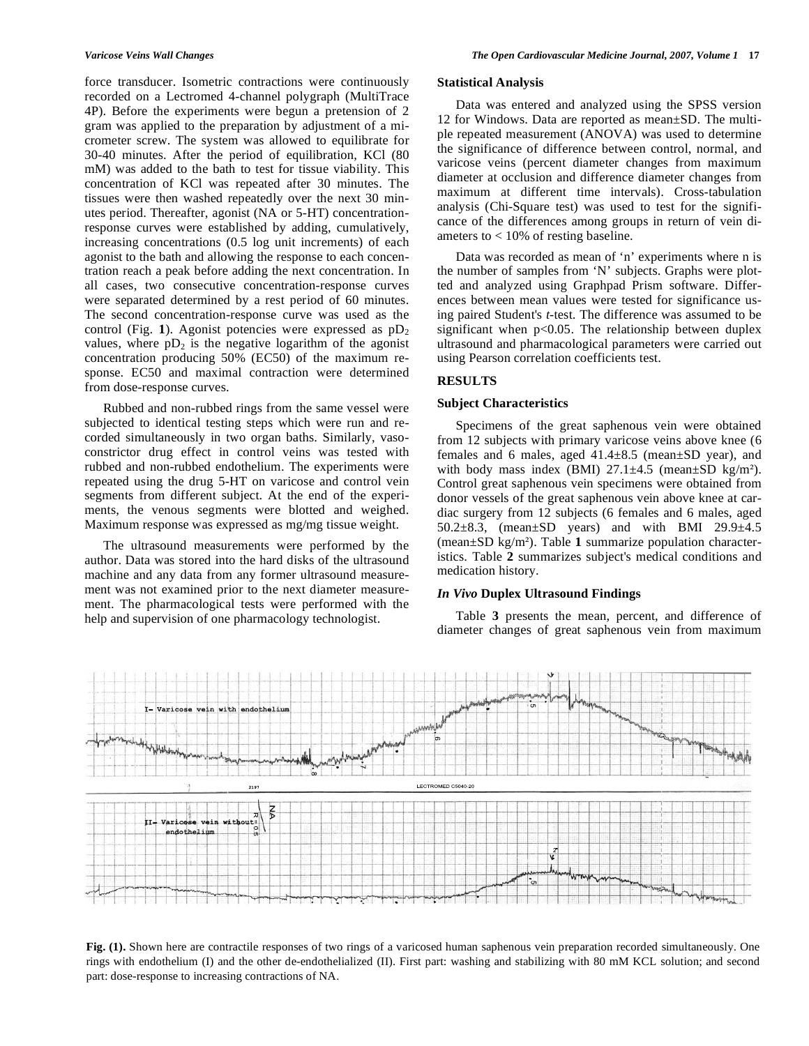force transducer. Isometric contractions were continuously recorded on a Lectromed 4-channel polygraph (MultiTrace 4P). Before the experiments were begun a pretension of 2 gram was applied to the preparation by adjustment of a micrometer screw. The system was allowed to equilibrate for 30-40 minutes. After the period of equilibration, KCl (80 mM) was added to the bath to test for tissue viability. This concentration of KCl was repeated after 30 minutes. The tissues were then washed repeatedly over the next 30 minutes period. Thereafter, agonist (NA or 5-HT) concentrationresponse curves were established by adding, cumulatively, increasing concentrations (0.5 log unit increments) of each agonist to the bath and allowing the response to each concentration reach a peak before adding the next concentration. In all cases, two consecutive concentration-response curves were separated determined by a rest period of 60 minutes. The second concentration-response curve was used as the control (Fig. 1). Agonist potencies were expressed as  $pD_2$ values, where  $pD_2$  is the negative logarithm of the agonist concentration producing 50% (EC50) of the maximum response. EC50 and maximal contraction were determined from dose-response curves.

 Rubbed and non-rubbed rings from the same vessel were subjected to identical testing steps which were run and recorded simultaneously in two organ baths. Similarly, vasoconstrictor drug effect in control veins was tested with rubbed and non-rubbed endothelium. The experiments were repeated using the drug 5-HT on varicose and control vein segments from different subject. At the end of the experiments, the venous segments were blotted and weighed. Maximum response was expressed as mg/mg tissue weight.

 The ultrasound measurements were performed by the author. Data was stored into the hard disks of the ultrasound machine and any data from any former ultrasound measurement was not examined prior to the next diameter measurement. The pharmacological tests were performed with the help and supervision of one pharmacology technologist.

#### **Statistical Analysis**

 Data was entered and analyzed using the SPSS version 12 for Windows. Data are reported as mean±SD. The multiple repeated measurement (ANOVA) was used to determine the significance of difference between control, normal, and varicose veins (percent diameter changes from maximum diameter at occlusion and difference diameter changes from maximum at different time intervals). Cross-tabulation analysis (Chi-Square test) was used to test for the significance of the differences among groups in return of vein diameters to  $< 10\%$  of resting baseline.

 Data was recorded as mean of 'n' experiments where n is the number of samples from 'N' subjects. Graphs were plotted and analyzed using Graphpad Prism software. Differences between mean values were tested for significance using paired Student's *t*-test. The difference was assumed to be significant when p<0.05. The relationship between duplex ultrasound and pharmacological parameters were carried out using Pearson correlation coefficients test.

# **RESULTS**

# **Subject Characteristics**

 Specimens of the great saphenous vein were obtained from 12 subjects with primary varicose veins above knee (6 females and 6 males, aged 41.4±8.5 (mean±SD year), and with body mass index (BMI)  $27.1 \pm 4.5$  (mean $\pm$ SD kg/m<sup>2</sup>). Control great saphenous vein specimens were obtained from donor vessels of the great saphenous vein above knee at cardiac surgery from 12 subjects (6 females and 6 males, aged 50.2±8.3, (mean±SD years) and with BMI 29.9±4.5 (mean±SD kg/m). Table **1** summarize population characteristics. Table **2** summarizes subject's medical conditions and medication history.

# *In Vivo* **Duplex Ultrasound Findings**

 Table **3** presents the mean, percent, and difference of diameter changes of great saphenous vein from maximum



**Fig. (1).** Shown here are contractile responses of two rings of a varicosed human saphenous vein preparation recorded simultaneously. One rings with endothelium (I) and the other de-endothelialized (II). First part: washing and stabilizing with 80 mM KCL solution; and second part: dose-response to increasing contractions of NA.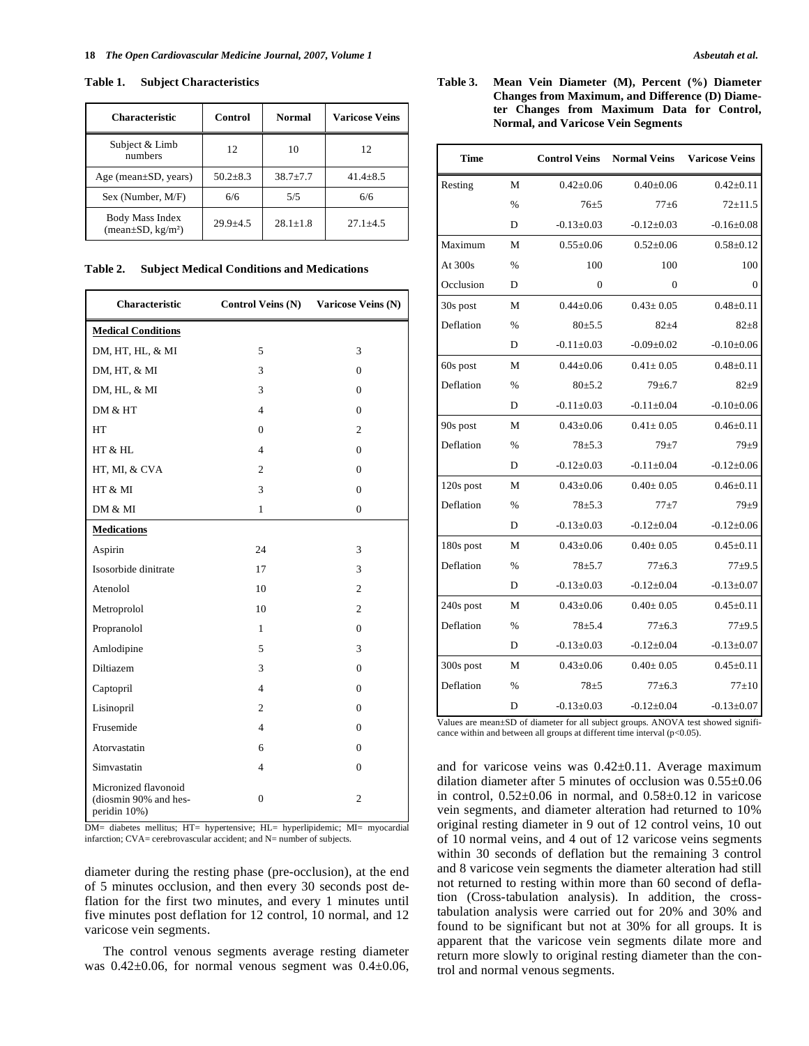## **Table 1. Subject Characteristics**

| <b>Characteristic</b>                                  | Control      | <b>Normal</b> | <b>Varicose Veins</b> |
|--------------------------------------------------------|--------------|---------------|-----------------------|
| Subject & Limb<br>numbers                              | 12           | 10            | 12                    |
| Age (mean $\pm SD$ , years)                            | $50.2 + 8.3$ | $38.7 + 7.7$  | $41.4 + 8.5$          |
| Sex (Number, M/F)                                      | 6/6          | 5/5           | 6/6                   |
| Body Mass Index<br>(mean $\pm$ SD, kg/m <sup>2</sup> ) | $29.9 + 4.5$ | $28.1 + 1.8$  | $27.1 \pm 4.5$        |

**Table 2. Subject Medical Conditions and Medications** 

| <b>Characteristic</b>                                         | <b>Control Veins (N)</b> | Varicose Veins (N) |  |
|---------------------------------------------------------------|--------------------------|--------------------|--|
| <b>Medical Conditions</b>                                     |                          |                    |  |
| DM, HT, HL, & MI                                              | 5                        | 3                  |  |
| DM, HT, & MI                                                  | 3                        | $\mathbf{0}$       |  |
| DM, HL, & MI                                                  | 3                        | $\Omega$           |  |
| DM & HT                                                       | $\overline{\mathcal{L}}$ | $\Omega$           |  |
| HТ                                                            | $\overline{0}$           | 2                  |  |
| HT & HL                                                       | $\overline{4}$           | $\Omega$           |  |
| HT, MI, & CVA                                                 | $\overline{c}$           | $\Omega$           |  |
| HT & MI                                                       | 3                        | $\mathbf{0}$       |  |
| DM & MI                                                       | 1                        | $\mathbf{0}$       |  |
| <b>Medications</b>                                            |                          |                    |  |
| Aspirin                                                       | 24                       | 3                  |  |
| Isosorbide dinitrate                                          | 17                       | 3                  |  |
| Atenolol                                                      | 10                       | $\overline{c}$     |  |
| Metroprolol                                                   | 10                       | $\overline{c}$     |  |
| Propranolol                                                   | $\mathbf{1}$             | $\Omega$           |  |
| Amlodipine                                                    | 5                        | 3                  |  |
| Diltiazem                                                     | 3                        | $\Omega$           |  |
| Captopril                                                     | $\overline{4}$           | $\Omega$           |  |
| Lisinopril                                                    | 2                        | $\Omega$           |  |
| Frusemide                                                     | $\overline{4}$           | $\Omega$           |  |
| Atorvastatin                                                  | 6                        | $\mathbf{0}$       |  |
| Simvastatin                                                   | $\overline{4}$           | $\mathbf{0}$       |  |
| Micronized flavonoid<br>(diosmin 90% and hes-<br>peridin 10%) | $\mathbf{0}$             | 2                  |  |

DM= diabetes mellitus; HT= hypertensive; HL= hyperlipidemic; MI= myocardial infarction; CVA= cerebrovascular accident; and N= number of subjects.

diameter during the resting phase (pre-occlusion), at the end of 5 minutes occlusion, and then every 30 seconds post deflation for the first two minutes, and every 1 minutes until five minutes post deflation for 12 control, 10 normal, and 12 varicose vein segments.

 The control venous segments average resting diameter was  $0.42\pm0.06$ , for normal venous segment was  $0.4\pm0.06$ ,

# **Table 3. Mean Vein Diameter (M), Percent (%) Diameter Changes from Maximum, and Difference (D) Diameter Changes from Maximum Data for Control, Normal, and Varicose Vein Segments**

| <b>Time</b> |               | <b>Control Veins</b>   | <b>Normal Veins</b> | <b>Varicose Veins</b> |  |
|-------------|---------------|------------------------|---------------------|-----------------------|--|
| Resting     | M             | $0.42 \pm 0.06$        | $0.40 + 0.06$       | $0.42 \pm 0.11$       |  |
|             | $\frac{0}{0}$ | $76 + 5$               | $77 + 6$            | $72 + 11.5$           |  |
|             | D             | $-0.13 \pm 0.03$       | $-0.12 \pm 0.03$    | $-0.16 \pm 0.08$      |  |
| Maximum     | M             | $0.55+0.06$            | $0.52 + 0.06$       | $0.58 \pm 0.12$       |  |
| At 300s     | $\%$          | 100                    | 100                 | 100                   |  |
| Occlusion   | D             | $\mathbf{0}$           | $\mathbf{0}$        | $\overline{0}$        |  |
| 30s post    | M             | $0.44 + 0.06$          | $0.43 + 0.05$       | $0.48 + 0.11$         |  |
| Deflation   | $\%$          | $80 + 5.5$             | $82 + 4$            | $82 + 8$              |  |
|             | D             | $-0.11 \pm 0.03$       | $-0.09 + 0.02$      | $-0.10+0.06$          |  |
| 60s post    | M             | $0.44 \pm 0.06$        | $0.41 \pm 0.05$     | $0.48 \pm 0.11$       |  |
| Deflation   | $\%$          | $80 + 5.2$             | $79 + 6.7$          |                       |  |
|             | D             | $-0.11 \pm 0.03$       | $-0.11 \pm 0.04$    | $-0.10+0.06$          |  |
| 90s post    | M             | $0.43 \pm 0.06$        | $0.41 + 0.05$       | $0.46 \pm 0.11$       |  |
| Deflation   | $\frac{0}{6}$ | $78 + 5.3$<br>$79 + 7$ |                     | $79\pm9$              |  |
|             | D             | $-0.12 \pm 0.03$       | $-0.11 \pm 0.04$    | $-0.12 \pm 0.06$      |  |
| 120s post   | M             | $0.43 \pm 0.06$        | $0.40 \pm 0.05$     | $0.46 \pm 0.11$       |  |
| Deflation   | $\%$          | $78 + 5.3$             | $77 + 7$            | $79 + 9$              |  |
|             | D             | $-0.13 \pm 0.03$       | $-0.12 \pm 0.04$    | $-0.12 \pm 0.06$      |  |
| 180s post   | M             | $0.43 \pm 0.06$        | $0.40 \pm 0.05$     | $0.45 \pm 0.11$       |  |
| Deflation   | $\%$          | $78 + 5.7$             | $77 + 6.3$          | $77 + 9.5$            |  |
|             | D             | $-0.13 \pm 0.03$       | $-0.12 \pm 0.04$    | $-0.13 \pm 0.07$      |  |
| 240s post   | M             | $0.43 \pm 0.06$        | $0.40 \pm 0.05$     | $0.45 \pm 0.11$       |  |
| Deflation   | $\frac{0}{0}$ | $78 + 5.4$             | $77+6.3$            | $77 + 9.5$            |  |
|             | D             | $-0.13 \pm 0.03$       | $-0.12 \pm 0.04$    | $-0.13 \pm 0.07$      |  |
| 300s post   | M             | $0.43 \pm 0.06$        | $0.40 \pm 0.05$     | $0.45 \pm 0.11$       |  |
| Deflation   | $\frac{0}{0}$ | $78 + 5$               | $77+6.3$            | $77+10$               |  |
|             | D             | $-0.13 \pm 0.03$       | $-0.12 \pm 0.04$    | $-0.13 \pm 0.07$      |  |

Values are mean±SD of diameter for all subject groups. ANOVA test showed significance within and between all groups at different time interval  $(p<0.05)$ .

and for varicose veins was  $0.42 \pm 0.11$ . Average maximum dilation diameter after 5 minutes of occlusion was 0.55±0.06 in control,  $0.52\pm0.06$  in normal, and  $0.58\pm0.12$  in varicose vein segments, and diameter alteration had returned to 10% original resting diameter in 9 out of 12 control veins, 10 out of 10 normal veins, and 4 out of 12 varicose veins segments within 30 seconds of deflation but the remaining 3 control and 8 varicose vein segments the diameter alteration had still not returned to resting within more than 60 second of deflation (Cross-tabulation analysis). In addition, the crosstabulation analysis were carried out for 20% and 30% and found to be significant but not at 30% for all groups. It is apparent that the varicose vein segments dilate more and return more slowly to original resting diameter than the control and normal venous segments.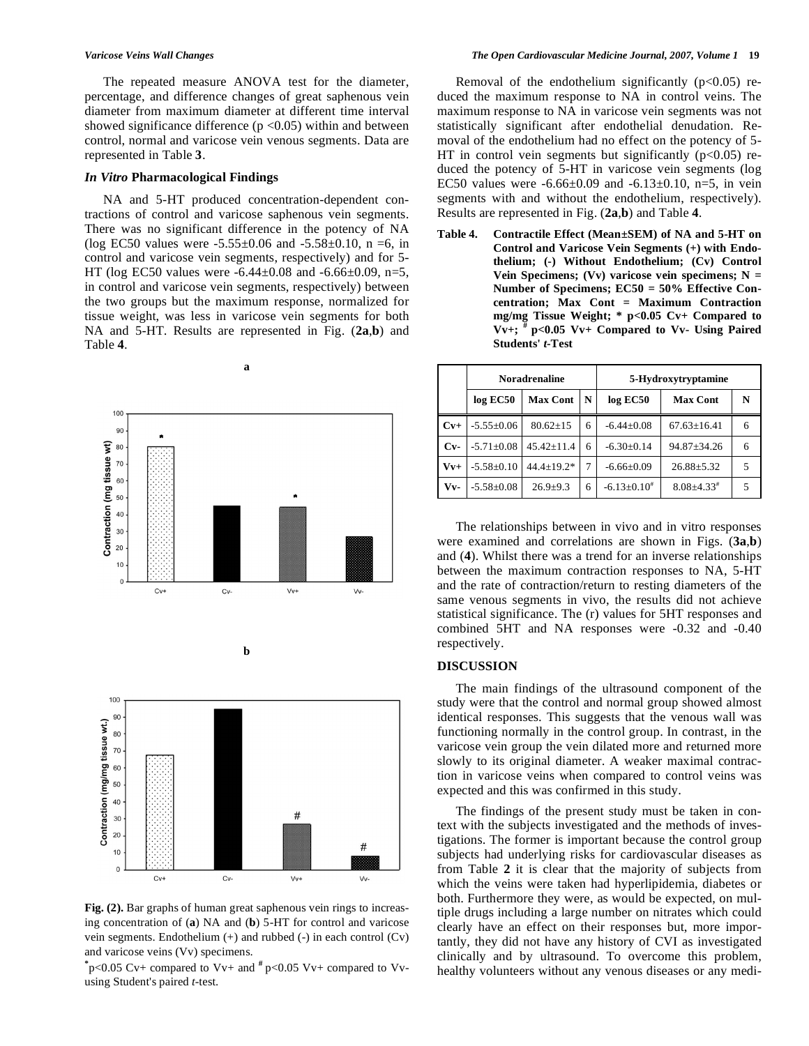The repeated measure ANOVA test for the diameter, percentage, and difference changes of great saphenous vein diameter from maximum diameter at different time interval showed significance difference  $(p < 0.05)$  within and between control, normal and varicose vein venous segments. Data are represented in Table **3**.

# *In Vitro* **Pharmacological Findings**

 NA and 5-HT produced concentration-dependent contractions of control and varicose saphenous vein segments. There was no significant difference in the potency of NA (log EC50 values were  $-5.55\pm0.06$  and  $-5.58\pm0.10$ , n =6, in control and varicose vein segments, respectively) and for 5- HT (log EC50 values were  $-6.44 \pm 0.08$  and  $-6.66 \pm 0.09$ , n=5, in control and varicose vein segments, respectively) between the two groups but the maximum response, normalized for tissue weight, was less in varicose vein segments for both NA and 5-HT. Results are represented in Fig. (**2a**,**b**) and Table **4**.

**a** 





**b** 

Fig. (2). Bar graphs of human great saphenous vein rings to increasing concentration of (**a**) NA and (**b**) 5-HT for control and varicose vein segments. Endothelium (+) and rubbed (-) in each control (Cv) and varicose veins (Vv) specimens.

**\*** p<0.05 Cv+ compared to Vv+ and **#** p<0.05 Vv+ compared to Vvusing Student's paired *t*-test.

Removal of the endothelium significantly  $(p<0.05)$  reduced the maximum response to NA in control veins. The maximum response to NA in varicose vein segments was not statistically significant after endothelial denudation. Removal of the endothelium had no effect on the potency of 5- HT in control vein segments but significantly  $(p<0.05)$  reduced the potency of 5-HT in varicose vein segments (log EC50 values were  $-6.66\pm0.09$  and  $-6.13\pm0.10$ , n=5, in vein segments with and without the endothelium, respectively). Results are represented in Fig. (**2a**,**b**) and Table **4**.

**Table 4. Contractile Effect (Mean±SEM) of NA and 5-HT on Control and Varicose Vein Segments (+) with Endothelium; (-) Without Endothelium; (Cv) Control Vein Specimens; (Vv) varicose vein specimens; N = Number of Specimens; EC50 = 50% Effective Concentration; Max Cont = Maximum Contraction mg/mg Tissue Weight; \* p<0.05 Cv+ Compared to Vv+; # p<0.05 Vv+ Compared to Vv- Using Paired Students'** *t***-Test** 

|       | <b>Noradrenaline</b> |                  | 5-Hydroxytryptamine |                    |                              |   |
|-------|----------------------|------------------|---------------------|--------------------|------------------------------|---|
|       | log EC50             | <b>Max Cont</b>  | N                   | log EC50           | <b>Max Cont</b>              | N |
| $Cv+$ | $-5.55 \pm 0.06$     | $80.62 \pm 15$   | 6                   | $-6.44 \pm 0.08$   | $67.63 \pm 16.41$            | 6 |
| $Cv-$ | $-5.71 \pm 0.08$     | $45.42 + 11.4$   | 6                   | $-6.30+0.14$       | $94.87 \pm 34.26$            | 6 |
| $Vv+$ | $-5.58 \pm 0.10$     | $44.4 \pm 19.2*$ | 7                   | $-6.66 \pm 0.09$   | $26.88 \pm 5.32$             |   |
| Vv-   | $-5.58 + 0.08$       | $26.9 + 9.3$     | 6                   | $-6.13 \pm 0.10^*$ | $8.08 \pm 4.33$ <sup>#</sup> |   |

 The relationships between in vivo and in vitro responses were examined and correlations are shown in Figs. (**3a**,**b**) and (**4**). Whilst there was a trend for an inverse relationships between the maximum contraction responses to NA, 5-HT and the rate of contraction/return to resting diameters of the same venous segments in vivo, the results did not achieve statistical significance. The (r) values for 5HT responses and combined 5HT and NA responses were -0.32 and -0.40 respectively.

#### **DISCUSSION**

 The main findings of the ultrasound component of the study were that the control and normal group showed almost identical responses. This suggests that the venous wall was functioning normally in the control group. In contrast, in the varicose vein group the vein dilated more and returned more slowly to its original diameter. A weaker maximal contraction in varicose veins when compared to control veins was expected and this was confirmed in this study.

 The findings of the present study must be taken in context with the subjects investigated and the methods of investigations. The former is important because the control group subjects had underlying risks for cardiovascular diseases as from Table **2** it is clear that the majority of subjects from which the veins were taken had hyperlipidemia, diabetes or both. Furthermore they were, as would be expected, on multiple drugs including a large number on nitrates which could clearly have an effect on their responses but, more importantly, they did not have any history of CVI as investigated clinically and by ultrasound. To overcome this problem, healthy volunteers without any venous diseases or any medi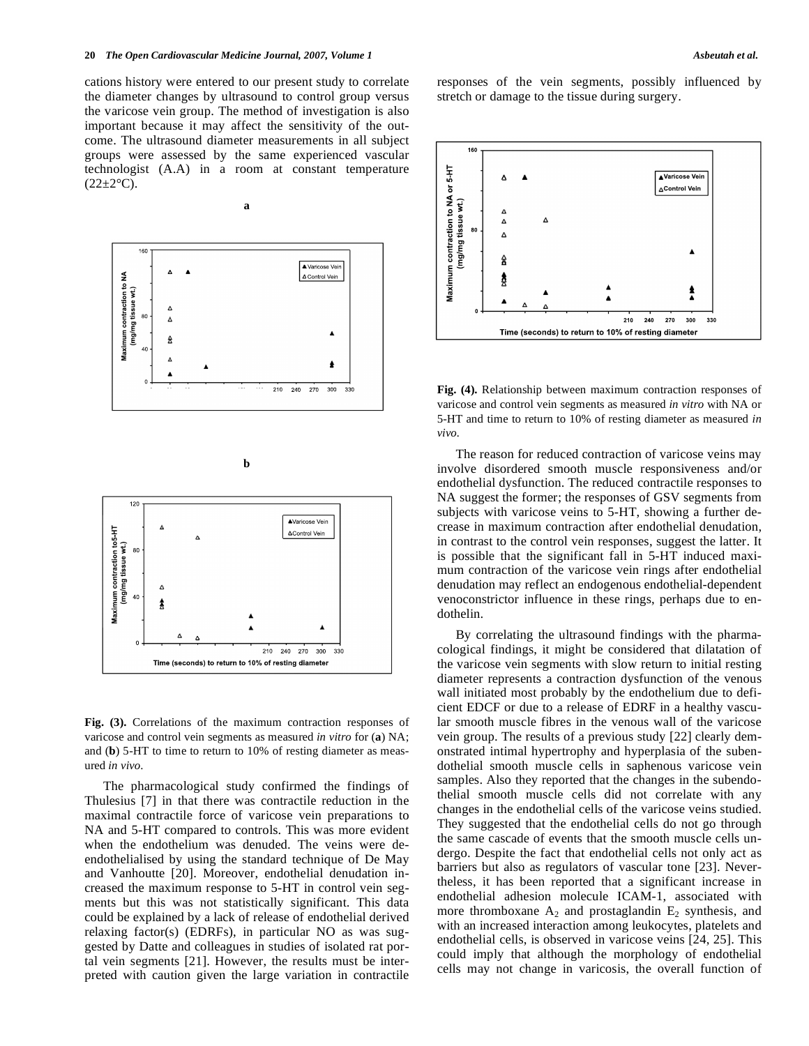cations history were entered to our present study to correlate the diameter changes by ultrasound to control group versus the varicose vein group. The method of investigation is also important because it may affect the sensitivity of the outcome. The ultrasound diameter measurements in all subject groups were assessed by the same experienced vascular technologist (A.A) in a room at constant temperature  $(22 \pm 2$ <sup>o</sup>C).









**Fig. (3).** Correlations of the maximum contraction responses of varicose and control vein segments as measured *in vitro* for (**a**) NA; and (**b**) 5-HT to time to return to 10% of resting diameter as measured *in vivo*.

 The pharmacological study confirmed the findings of Thulesius [7] in that there was contractile reduction in the maximal contractile force of varicose vein preparations to NA and 5-HT compared to controls. This was more evident when the endothelium was denuded. The veins were deendothelialised by using the standard technique of De May and Vanhoutte [20]. Moreover, endothelial denudation increased the maximum response to 5-HT in control vein segments but this was not statistically significant. This data could be explained by a lack of release of endothelial derived relaxing factor(s) (EDRFs), in particular NO as was suggested by Datte and colleagues in studies of isolated rat portal vein segments [21]. However, the results must be interpreted with caution given the large variation in contractile responses of the vein segments, possibly influenced by stretch or damage to the tissue during surgery.



**Fig. (4).** Relationship between maximum contraction responses of varicose and control vein segments as measured *in vitro* with NA or 5-HT and time to return to 10% of resting diameter as measured *in vivo.*

 The reason for reduced contraction of varicose veins may involve disordered smooth muscle responsiveness and/or endothelial dysfunction. The reduced contractile responses to NA suggest the former; the responses of GSV segments from subjects with varicose veins to 5-HT, showing a further decrease in maximum contraction after endothelial denudation, in contrast to the control vein responses, suggest the latter. It is possible that the significant fall in 5-HT induced maximum contraction of the varicose vein rings after endothelial denudation may reflect an endogenous endothelial-dependent venoconstrictor influence in these rings, perhaps due to endothelin.

 By correlating the ultrasound findings with the pharmacological findings, it might be considered that dilatation of the varicose vein segments with slow return to initial resting diameter represents a contraction dysfunction of the venous wall initiated most probably by the endothelium due to deficient EDCF or due to a release of EDRF in a healthy vascular smooth muscle fibres in the venous wall of the varicose vein group. The results of a previous study [22] clearly demonstrated intimal hypertrophy and hyperplasia of the subendothelial smooth muscle cells in saphenous varicose vein samples. Also they reported that the changes in the subendothelial smooth muscle cells did not correlate with any changes in the endothelial cells of the varicose veins studied. They suggested that the endothelial cells do not go through the same cascade of events that the smooth muscle cells undergo. Despite the fact that endothelial cells not only act as barriers but also as regulators of vascular tone [23]. Nevertheless, it has been reported that a significant increase in endothelial adhesion molecule ICAM-1, associated with more thromboxane  $A_2$  and prostaglandin  $E_2$  synthesis, and with an increased interaction among leukocytes, platelets and endothelial cells, is observed in varicose veins [24, 25]. This could imply that although the morphology of endothelial cells may not change in varicosis, the overall function of